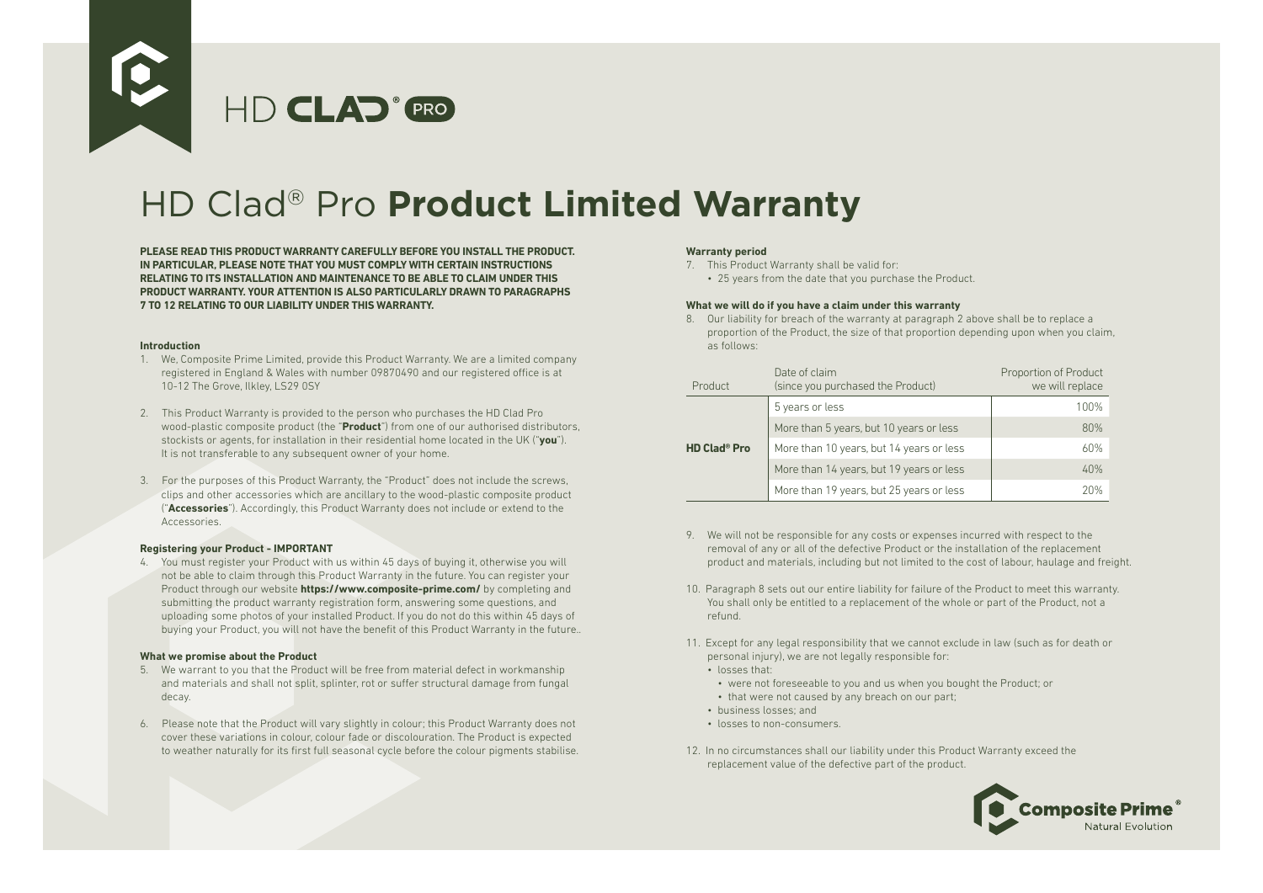

# HD Clad® Pro **Product Limited Warranty**

**PLEASE READ THIS PRODUCT WARRANTY CAREFULLY BEFORE YOU INSTALL THE PRODUCT. IN PARTICULAR, PLEASE NOTE THAT YOU MUST COMPLY WITH CERTAIN INSTRUCTIONS RELATING TO ITS INSTALLATION AND MAINTENANCE TO BE ABLE TO CLAIM UNDER THIS PRODUCT WARRANTY. YOUR ATTENTION IS ALSO PARTICULARLY DRAWN TO PARAGRAPHS 7 TO 12 RELATING TO OUR LIABILITY UNDER THIS WARRANTY.**

### **Introduction**

- 1. We, Composite Prime Limited, provide this Product Warranty. We are a limited company registered in England & Wales with number 09870490 and our registered office is at 10-12 The Grove, Ilkley, LS29 0SY
- 2. This Product Warranty is provided to the person who purchases the HD Clad Pro wood-plastic composite product (the "**Product**") from one of our authorised distributors, stockists or agents, for installation in their residential home located in the UK ("**you**"). It is not transferable to any subsequent owner of your home.
- 3. For the purposes of this Product Warranty, the "Product" does not include the screws, clips and other accessories which are ancillary to the wood-plastic composite product ("**Accessories**"). Accordingly, this Product Warranty does not include or extend to the Accessories.

# **Registering your Product - IMPORTANT**

4. You must register your Product with us within 45 days of buying it, otherwise you will not be able to claim through this Product Warranty in the future. You can register your Product through our website **https://www.composite-prime.com/** by completing and submitting the product warranty registration form, answering some questions, and uploading some photos of your installed Product. If you do not do this within 45 days of buying your Product, you will not have the benefit of this Product Warranty in the future..

### **What we promise about the Product**

- 5. We warrant to you that the Product will be free from material defect in workmanship and materials and shall not split, splinter, rot or suffer structural damage from fungal decay.
- 6. Please note that the Product will vary slightly in colour; this Product Warranty does not cover these variations in colour, colour fade or discolouration. The Product is expected to weather naturally for its first full seasonal cycle before the colour pigments stabilise.

# **Warranty period**

- 7. This Product Warranty shall be valid for:
	- 25 years from the date that you purchase the Product.

### **What we will do if you have a claim under this warranty**

8. Our liability for breach of the warranty at paragraph 2 above shall be to replace a proportion of the Product, the size of that proportion depending upon when you claim, as follows:

| Product                        | Date of claim<br>(since you purchased the Product) | Proportion of Product<br>we will replace |
|--------------------------------|----------------------------------------------------|------------------------------------------|
| <b>HD Clad<sup>®</sup> Pro</b> | 5 years or less                                    | 100%                                     |
|                                | More than 5 years, but 10 years or less            | 80%                                      |
|                                | More than 10 years, but 14 years or less           | 60%                                      |
|                                | More than 14 years, but 19 years or less           | 40%                                      |
|                                | More than 19 years, but 25 years or less           | 20%                                      |

- 9. We will not be responsible for any costs or expenses incurred with respect to the removal of any or all of the defective Product or the installation of the replacement product and materials, including but not limited to the cost of labour, haulage and freight.
- 10. Paragraph 8 sets out our entire liability for failure of the Product to meet this warranty. You shall only be entitled to a replacement of the whole or part of the Product, not a refund.
- 11. Except for any legal responsibility that we cannot exclude in law (such as for death or personal injury), we are not legally responsible for:
	- losses that:
	- were not foreseeable to you and us when you bought the Product; or
	- that were not caused by any breach on our part;
	- business losses; and
	- losses to non-consumers.
- 12. In no circumstances shall our liability under this Product Warranty exceed the replacement value of the defective part of the product.